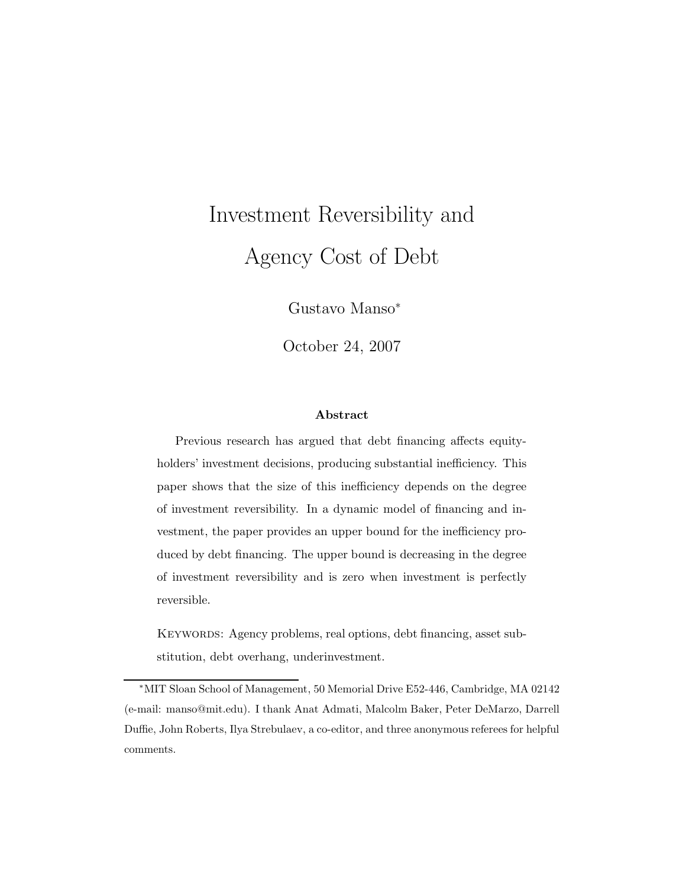# Investment Reversibility and Agency Cost of Debt

Gustavo Manso<sup>∗</sup>

October 24, 2007

#### Abstract

Previous research has argued that debt financing affects equityholders' investment decisions, producing substantial inefficiency. This paper shows that the size of this inefficiency depends on the degree of investment reversibility. In a dynamic model of financing and investment, the paper provides an upper bound for the inefficiency produced by debt financing. The upper bound is decreasing in the degree of investment reversibility and is zero when investment is perfectly reversible.

KEYWORDS: Agency problems, real options, debt financing, asset substitution, debt overhang, underinvestment.

<sup>∗</sup>MIT Sloan School of Management, 50 Memorial Drive E52-446, Cambridge, MA 02142 (e-mail: manso@mit.edu). I thank Anat Admati, Malcolm Baker, Peter DeMarzo, Darrell Duffie, John Roberts, Ilya Strebulaev, a co-editor, and three anonymous referees for helpful comments.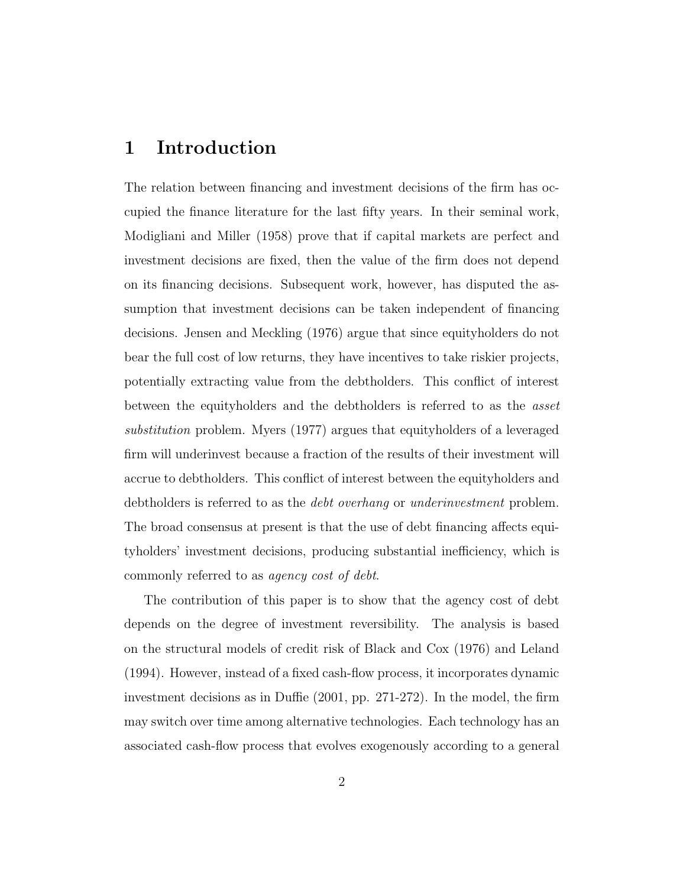### 1 Introduction

The relation between financing and investment decisions of the firm has occupied the finance literature for the last fifty years. In their seminal work, Modigliani and Miller (1958) prove that if capital markets are perfect and investment decisions are fixed, then the value of the firm does not depend on its financing decisions. Subsequent work, however, has disputed the assumption that investment decisions can be taken independent of financing decisions. Jensen and Meckling (1976) argue that since equityholders do not bear the full cost of low returns, they have incentives to take riskier projects, potentially extracting value from the debtholders. This conflict of interest between the equityholders and the debtholders is referred to as the asset substitution problem. Myers (1977) argues that equityholders of a leveraged firm will underinvest because a fraction of the results of their investment will accrue to debtholders. This conflict of interest between the equityholders and debtholders is referred to as the *debt overhang* or *underinvestment* problem. The broad consensus at present is that the use of debt financing affects equityholders' investment decisions, producing substantial inefficiency, which is commonly referred to as agency cost of debt.

The contribution of this paper is to show that the agency cost of debt depends on the degree of investment reversibility. The analysis is based on the structural models of credit risk of Black and Cox (1976) and Leland (1994). However, instead of a fixed cash-flow process, it incorporates dynamic investment decisions as in Duffie (2001, pp. 271-272). In the model, the firm may switch over time among alternative technologies. Each technology has an associated cash-flow process that evolves exogenously according to a general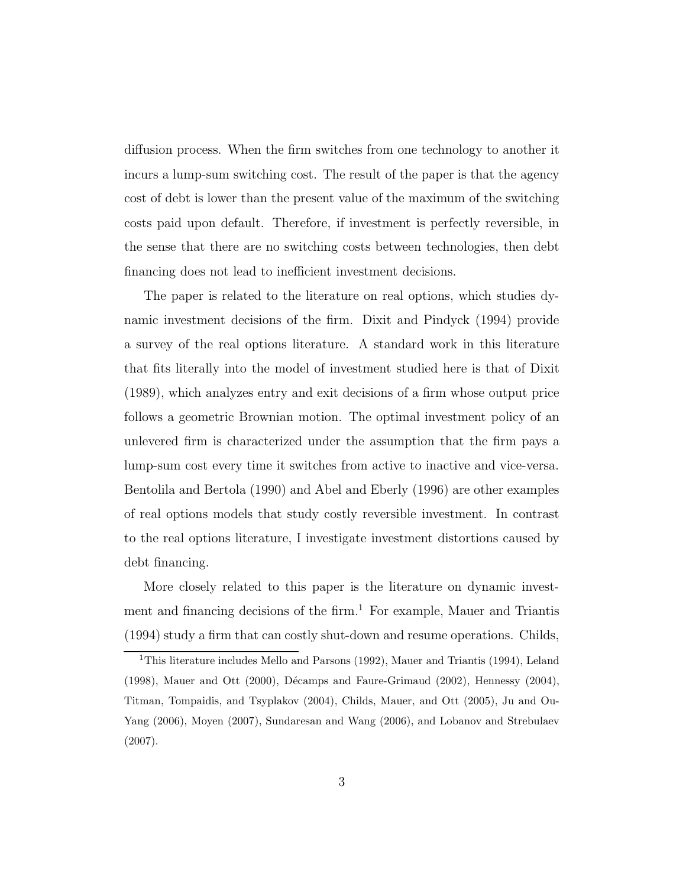diffusion process. When the firm switches from one technology to another it incurs a lump-sum switching cost. The result of the paper is that the agency cost of debt is lower than the present value of the maximum of the switching costs paid upon default. Therefore, if investment is perfectly reversible, in the sense that there are no switching costs between technologies, then debt financing does not lead to inefficient investment decisions.

The paper is related to the literature on real options, which studies dynamic investment decisions of the firm. Dixit and Pindyck (1994) provide a survey of the real options literature. A standard work in this literature that fits literally into the model of investment studied here is that of Dixit (1989), which analyzes entry and exit decisions of a firm whose output price follows a geometric Brownian motion. The optimal investment policy of an unlevered firm is characterized under the assumption that the firm pays a lump-sum cost every time it switches from active to inactive and vice-versa. Bentolila and Bertola (1990) and Abel and Eberly (1996) are other examples of real options models that study costly reversible investment. In contrast to the real options literature, I investigate investment distortions caused by debt financing.

More closely related to this paper is the literature on dynamic investment and financing decisions of the firm.<sup>1</sup> For example, Mauer and Triantis (1994) study a firm that can costly shut-down and resume operations. Childs,

<sup>&</sup>lt;sup>1</sup>This literature includes Mello and Parsons (1992), Mauer and Triantis (1994), Leland  $(1998)$ , Mauer and Ott  $(2000)$ , Décamps and Faure-Grimaud  $(2002)$ , Hennessy  $(2004)$ , Titman, Tompaidis, and Tsyplakov (2004), Childs, Mauer, and Ott (2005), Ju and Ou-Yang (2006), Moyen (2007), Sundaresan and Wang (2006), and Lobanov and Strebulaev (2007).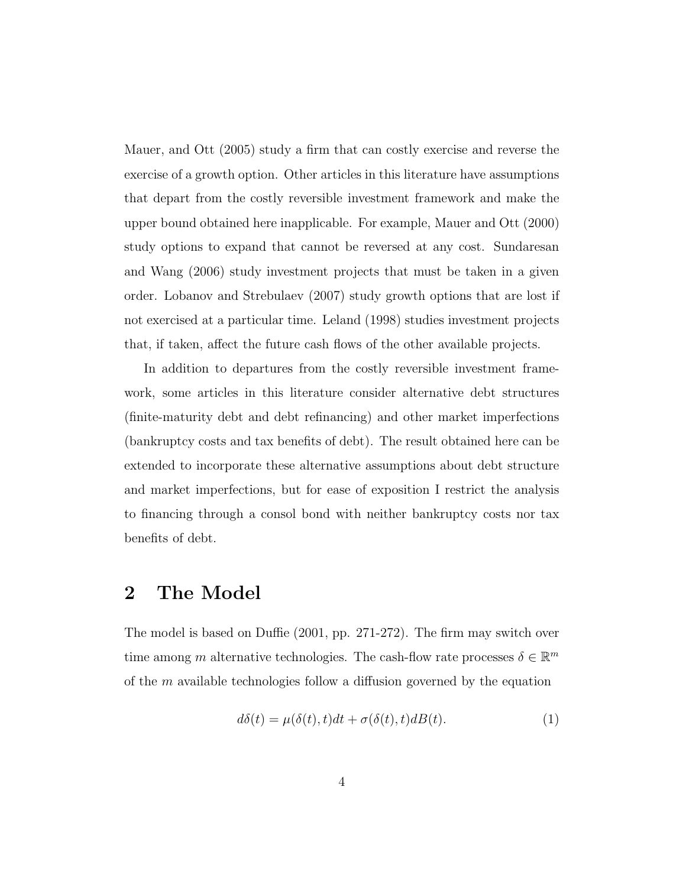Mauer, and Ott (2005) study a firm that can costly exercise and reverse the exercise of a growth option. Other articles in this literature have assumptions that depart from the costly reversible investment framework and make the upper bound obtained here inapplicable. For example, Mauer and Ott (2000) study options to expand that cannot be reversed at any cost. Sundaresan and Wang (2006) study investment projects that must be taken in a given order. Lobanov and Strebulaev (2007) study growth options that are lost if not exercised at a particular time. Leland (1998) studies investment projects that, if taken, affect the future cash flows of the other available projects.

In addition to departures from the costly reversible investment framework, some articles in this literature consider alternative debt structures (finite-maturity debt and debt refinancing) and other market imperfections (bankruptcy costs and tax benefits of debt). The result obtained here can be extended to incorporate these alternative assumptions about debt structure and market imperfections, but for ease of exposition I restrict the analysis to financing through a consol bond with neither bankruptcy costs nor tax benefits of debt.

#### 2 The Model

The model is based on Duffie (2001, pp. 271-272). The firm may switch over time among m alternative technologies. The cash-flow rate processes  $\delta \in \mathbb{R}^m$ of the m available technologies follow a diffusion governed by the equation

$$
d\delta(t) = \mu(\delta(t), t)dt + \sigma(\delta(t), t)dB(t).
$$
\n(1)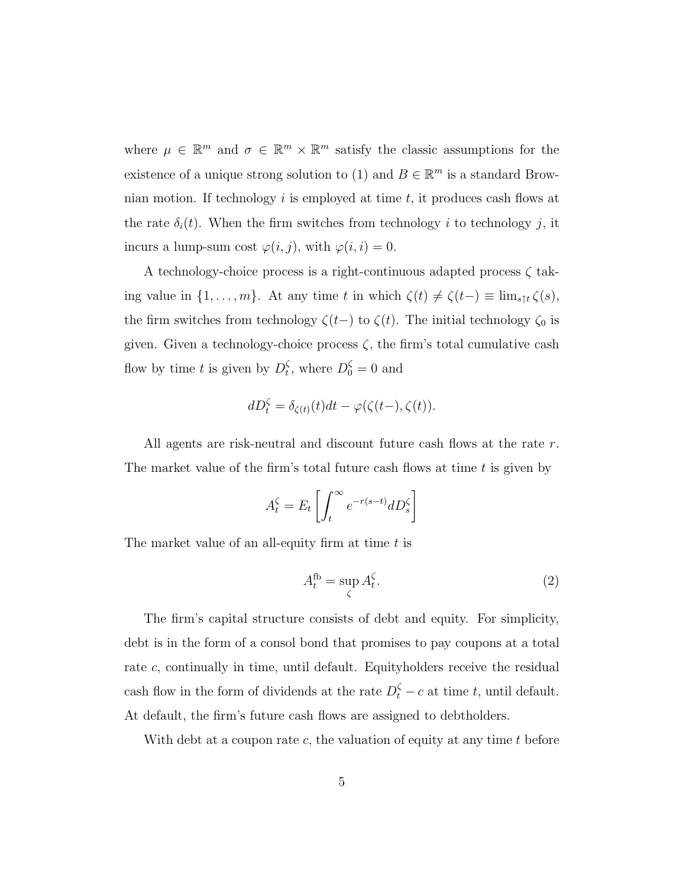where  $\mu \in \mathbb{R}^m$  and  $\sigma \in \mathbb{R}^m \times \mathbb{R}^m$  satisfy the classic assumptions for the existence of a unique strong solution to (1) and  $B \in \mathbb{R}^m$  is a standard Brownian motion. If technology  $i$  is employed at time  $t$ , it produces cash flows at the rate  $\delta_i(t)$ . When the firm switches from technology i to technology i, it incurs a lump-sum cost  $\varphi(i, j)$ , with  $\varphi(i, i) = 0$ .

A technology-choice process is a right-continuous adapted process  $\zeta$  taking value in  $\{1, \ldots, m\}$ . At any time t in which  $\zeta(t) \neq \zeta(t-) \equiv \lim_{s \uparrow t} \zeta(s)$ , the firm switches from technology  $\zeta(t-)$  to  $\zeta(t)$ . The initial technology  $\zeta_0$  is given. Given a technology-choice process  $\zeta$ , the firm's total cumulative cash flow by time t is given by  $D_t^{\zeta}$  $t<sub>t</sub>$ , where  $D_0^{\zeta} = 0$  and

$$
dD_t^{\zeta} = \delta_{\zeta(t)}(t)dt - \varphi(\zeta(t-), \zeta(t)).
$$

All agents are risk-neutral and discount future cash flows at the rate r. The market value of the firm's total future cash flows at time  $t$  is given by

$$
A_t^{\zeta} = E_t \left[ \int_t^{\infty} e^{-r(s-t)} dD_s^{\zeta} \right]
$$

The market value of an all-equity firm at time  $t$  is

$$
A_t^{\text{fb}} = \sup_{\zeta} A_t^{\zeta}.
$$
 (2)

The firm's capital structure consists of debt and equity. For simplicity, debt is in the form of a consol bond that promises to pay coupons at a total rate c, continually in time, until default. Equityholders receive the residual cash flow in the form of dividends at the rate  $D_t^{\zeta} - c$  at time t, until default. At default, the firm's future cash flows are assigned to debtholders.

With debt at a coupon rate c, the valuation of equity at any time  $t$  before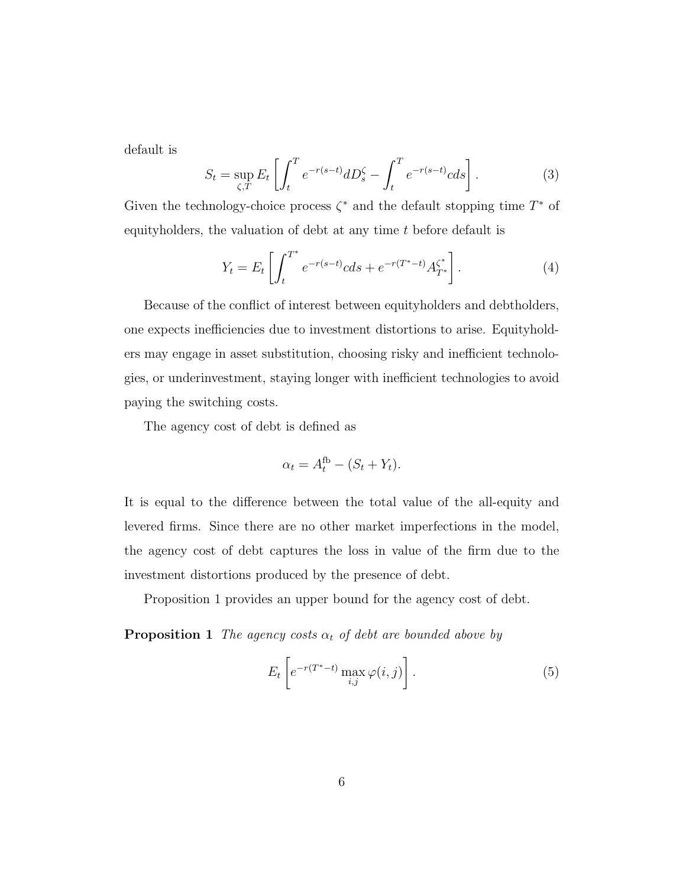default is

$$
S_t = \sup_{\zeta, T} E_t \left[ \int_t^T e^{-r(s-t)} dD_s^{\zeta} - \int_t^T e^{-r(s-t)} c ds \right].
$$
 (3)

Given the technology-choice process  $\zeta^*$  and the default stopping time  $T^*$  of equityholders, the valuation of debt at any time t before default is

$$
Y_t = E_t \left[ \int_t^{T^*} e^{-r(s-t)} c ds + e^{-r(T^*-t)} A_{T^*}^{\zeta^*} \right]. \tag{4}
$$

Because of the conflict of interest between equityholders and debtholders, one expects inefficiencies due to investment distortions to arise. Equityholders may engage in asset substitution, choosing risky and inefficient technologies, or underinvestment, staying longer with inefficient technologies to avoid paying the switching costs.

The agency cost of debt is defined as

$$
\alpha_t = A_t^{\text{fb}} - (S_t + Y_t).
$$

It is equal to the difference between the total value of the all-equity and levered firms. Since there are no other market imperfections in the model, the agency cost of debt captures the loss in value of the firm due to the investment distortions produced by the presence of debt.

Proposition 1 provides an upper bound for the agency cost of debt.

**Proposition 1** The agency costs  $\alpha_t$  of debt are bounded above by

$$
E_t\left[e^{-r(T^*-t)}\max_{i,j}\varphi(i,j)\right].\tag{5}
$$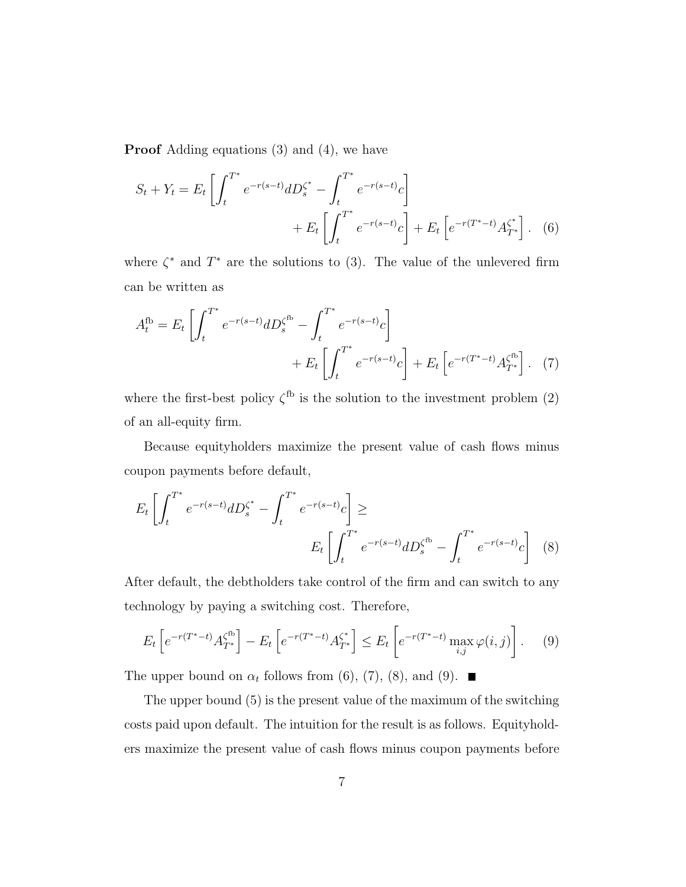Proof Adding equations (3) and (4), we have

$$
S_t + Y_t = E_t \left[ \int_t^{T^*} e^{-r(s-t)} dD_s^{\zeta^*} - \int_t^{T^*} e^{-r(s-t)} c \right] + E_t \left[ \int_t^{T^*} e^{-r(s-t)} c \right] + E_t \left[ e^{-r(T^*-t)} A_{T^*}^{\zeta^*} \right]. \tag{6}
$$

where  $\zeta^*$  and  $T^*$  are the solutions to (3). The value of the unlevered firm can be written as

$$
A_t^{\text{fb}} = E_t \left[ \int_t^{T^*} e^{-r(s-t)} dD_s^{\zeta^{\text{fb}}} - \int_t^{T^*} e^{-r(s-t)} c \right] + E_t \left[ \int_t^{T^*} e^{-r(s-t)} c \right] + E_t \left[ e^{-r(T^*-t)} A_{T^*}^{\zeta^{\text{fb}}} \right]. \tag{7}
$$

where the first-best policy  $\zeta^{\text{fb}}$  is the solution to the investment problem (2) of an all-equity firm.

Because equityholders maximize the present value of cash flows minus coupon payments before default,

$$
E_t \left[ \int_t^{T^*} e^{-r(s-t)} dD_s^{\zeta^*} - \int_t^{T^*} e^{-r(s-t)} c \right] \ge
$$
  

$$
E_t \left[ \int_t^{T^*} e^{-r(s-t)} dD_s^{\zeta^{fb}} - \int_t^{T^*} e^{-r(s-t)} c \right] \tag{8}
$$

After default, the debtholders take control of the firm and can switch to any technology by paying a switching cost. Therefore,

$$
E_t\left[e^{-r(T^*-t)}A_{T^*}^{\zeta^{fb}}\right] - E_t\left[e^{-r(T^*-t)}A_{T^*}^{\zeta^*}\right] \le E_t\left[e^{-r(T^*-t)}\max_{i,j}\varphi(i,j)\right].\tag{9}
$$

The upper bound on  $\alpha_t$  follows from (6), (7), (8), and (9).

The upper bound (5) is the present value of the maximum of the switching costs paid upon default. The intuition for the result is as follows. Equityholders maximize the present value of cash flows minus coupon payments before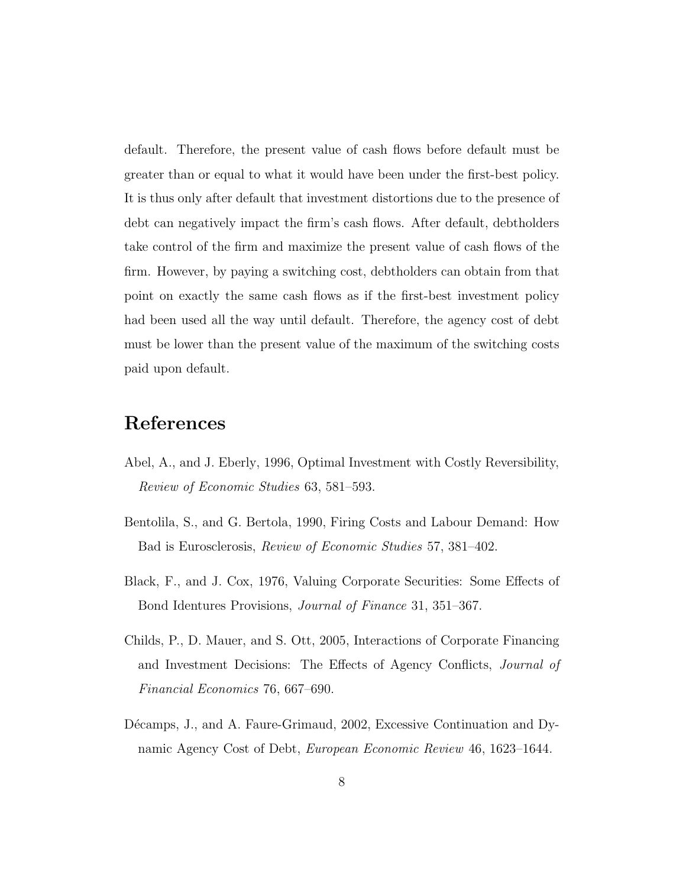default. Therefore, the present value of cash flows before default must be greater than or equal to what it would have been under the first-best policy. It is thus only after default that investment distortions due to the presence of debt can negatively impact the firm's cash flows. After default, debtholders take control of the firm and maximize the present value of cash flows of the firm. However, by paying a switching cost, debtholders can obtain from that point on exactly the same cash flows as if the first-best investment policy had been used all the way until default. Therefore, the agency cost of debt must be lower than the present value of the maximum of the switching costs paid upon default.

## References

- Abel, A., and J. Eberly, 1996, Optimal Investment with Costly Reversibility, Review of Economic Studies 63, 581–593.
- Bentolila, S., and G. Bertola, 1990, Firing Costs and Labour Demand: How Bad is Eurosclerosis, Review of Economic Studies 57, 381–402.
- Black, F., and J. Cox, 1976, Valuing Corporate Securities: Some Effects of Bond Identures Provisions, Journal of Finance 31, 351–367.
- Childs, P., D. Mauer, and S. Ott, 2005, Interactions of Corporate Financing and Investment Decisions: The Effects of Agency Conflicts, Journal of Financial Economics 76, 667–690.
- Décamps, J., and A. Faure-Grimaud, 2002, Excessive Continuation and Dynamic Agency Cost of Debt, European Economic Review 46, 1623–1644.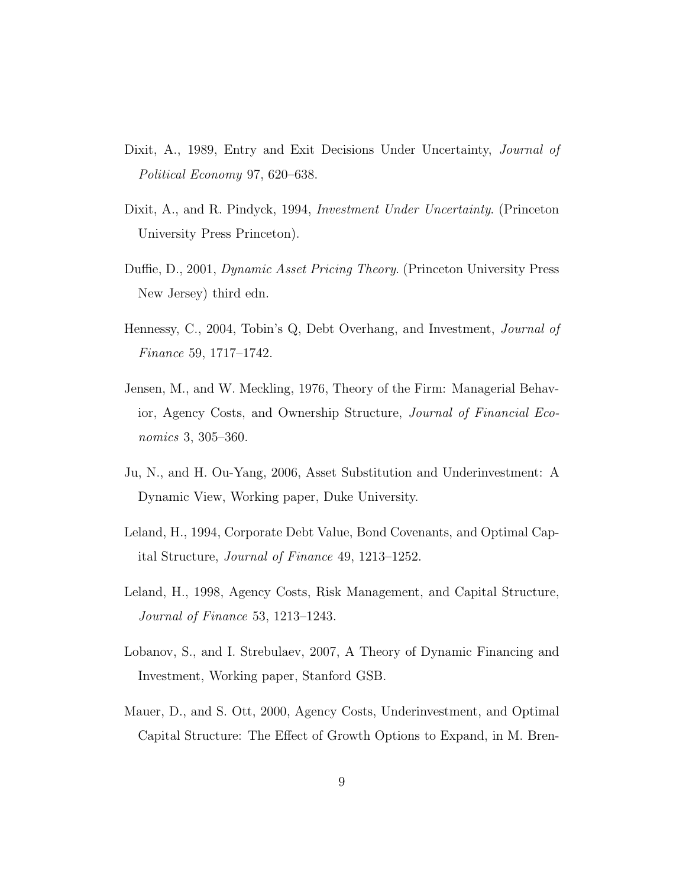- Dixit, A., 1989, Entry and Exit Decisions Under Uncertainty, *Journal of* Political Economy 97, 620–638.
- Dixit, A., and R. Pindyck, 1994, *Investment Under Uncertainty*. (Princeton University Press Princeton).
- Duffie, D., 2001, Dynamic Asset Pricing Theory. (Princeton University Press New Jersey) third edn.
- Hennessy, C., 2004, Tobin's Q, Debt Overhang, and Investment, Journal of Finance 59, 1717–1742.
- Jensen, M., and W. Meckling, 1976, Theory of the Firm: Managerial Behavior, Agency Costs, and Ownership Structure, Journal of Financial Economics 3, 305–360.
- Ju, N., and H. Ou-Yang, 2006, Asset Substitution and Underinvestment: A Dynamic View, Working paper, Duke University.
- Leland, H., 1994, Corporate Debt Value, Bond Covenants, and Optimal Capital Structure, Journal of Finance 49, 1213–1252.
- Leland, H., 1998, Agency Costs, Risk Management, and Capital Structure, Journal of Finance 53, 1213–1243.
- Lobanov, S., and I. Strebulaev, 2007, A Theory of Dynamic Financing and Investment, Working paper, Stanford GSB.
- Mauer, D., and S. Ott, 2000, Agency Costs, Underinvestment, and Optimal Capital Structure: The Effect of Growth Options to Expand, in M. Bren-